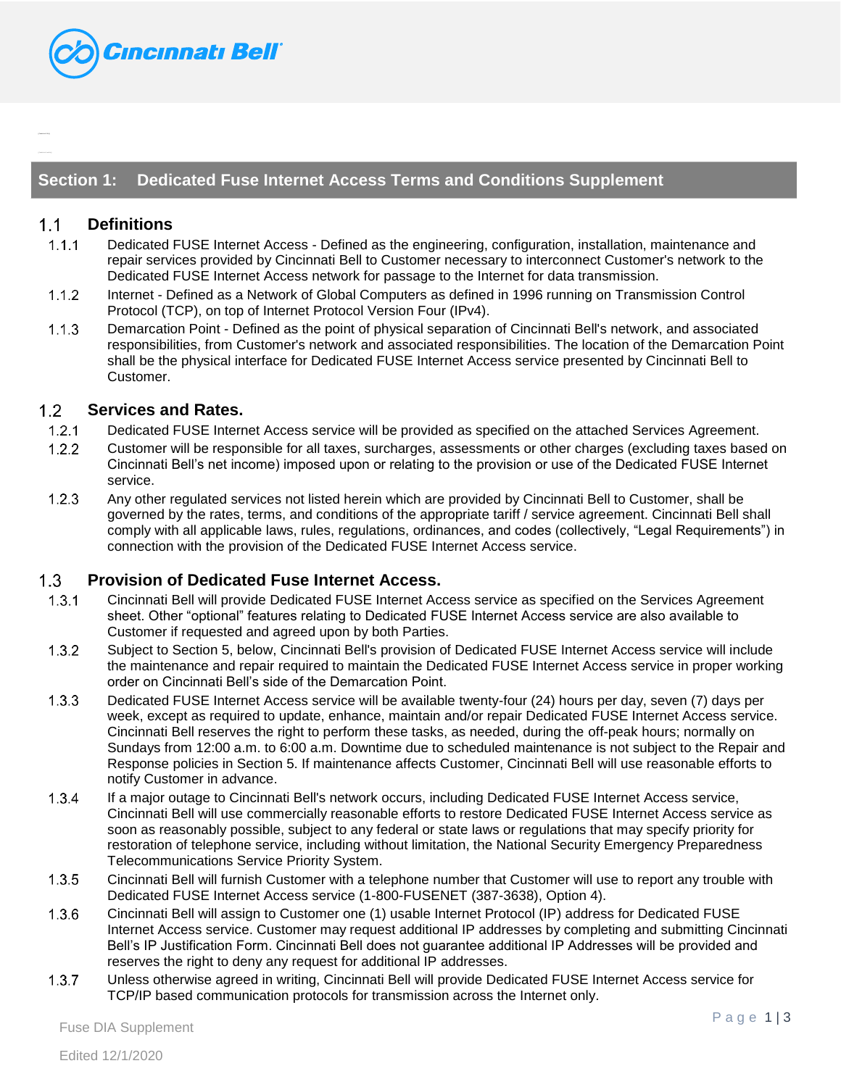

# **Section 1: Dedicated Fuse Internet Access Terms and Conditions Supplement**

#### $1.1$ **Definitions**

- $1.1.1$ Dedicated FUSE Internet Access - Defined as the engineering, configuration, installation, maintenance and repair services provided by Cincinnati Bell to Customer necessary to interconnect Customer's network to the Dedicated FUSE Internet Access network for passage to the Internet for data transmission.
- $1.1.2$ Internet - Defined as a Network of Global Computers as defined in 1996 running on Transmission Control Protocol (TCP), on top of Internet Protocol Version Four (IPv4).
- Demarcation Point Defined as the point of physical separation of Cincinnati Bell's network, and associated  $1.1.3$ responsibilities, from Customer's network and associated responsibilities. The location of the Demarcation Point shall be the physical interface for Dedicated FUSE Internet Access service presented by Cincinnati Bell to Customer.

#### $1.2$ **Services and Rates.**

- $1.2.1$ Dedicated FUSE Internet Access service will be provided as specified on the attached Services Agreement.
- $1.2.2$ Customer will be responsible for all taxes, surcharges, assessments or other charges (excluding taxes based on Cincinnati Bell's net income) imposed upon or relating to the provision or use of the Dedicated FUSE Internet service.
- $1.2.3$ Any other regulated services not listed herein which are provided by Cincinnati Bell to Customer, shall be governed by the rates, terms, and conditions of the appropriate tariff / service agreement. Cincinnati Bell shall comply with all applicable laws, rules, regulations, ordinances, and codes (collectively, "Legal Requirements") in connection with the provision of the Dedicated FUSE Internet Access service.

### $1.3$ **Provision of Dedicated Fuse Internet Access.**

- Cincinnati Bell will provide Dedicated FUSE Internet Access service as specified on the Services Agreement  $1.3.1$ sheet. Other "optional" features relating to Dedicated FUSE Internet Access service are also available to Customer if requested and agreed upon by both Parties.
- $1.3.2$ Subject to Section 5, below, Cincinnati Bell's provision of Dedicated FUSE Internet Access service will include the maintenance and repair required to maintain the Dedicated FUSE Internet Access service in proper working order on Cincinnati Bell's side of the Demarcation Point.
- $1.3.3$ Dedicated FUSE Internet Access service will be available twenty-four (24) hours per day, seven (7) days per week, except as required to update, enhance, maintain and/or repair Dedicated FUSE Internet Access service. Cincinnati Bell reserves the right to perform these tasks, as needed, during the off-peak hours; normally on Sundays from 12:00 a.m. to 6:00 a.m. Downtime due to scheduled maintenance is not subject to the Repair and Response policies in Section 5. If maintenance affects Customer, Cincinnati Bell will use reasonable efforts to notify Customer in advance.
- $1.3.4$ If a major outage to Cincinnati Bell's network occurs, including Dedicated FUSE Internet Access service, Cincinnati Bell will use commercially reasonable efforts to restore Dedicated FUSE Internet Access service as soon as reasonably possible, subject to any federal or state laws or regulations that may specify priority for restoration of telephone service, including without limitation, the National Security Emergency Preparedness Telecommunications Service Priority System.
- $1.3.5$ Cincinnati Bell will furnish Customer with a telephone number that Customer will use to report any trouble with Dedicated FUSE Internet Access service (1-800-FUSENET (387-3638), Option 4).
- $1.3.6$ Cincinnati Bell will assign to Customer one (1) usable Internet Protocol (IP) address for Dedicated FUSE Internet Access service. Customer may request additional IP addresses by completing and submitting Cincinnati Bell's IP Justification Form. Cincinnati Bell does not guarantee additional IP Addresses will be provided and reserves the right to deny any request for additional IP addresses.
- Unless otherwise agreed in writing, Cincinnati Bell will provide Dedicated FUSE Internet Access service for  $1.3.7$ TCP/IP based communication protocols for transmission across the Internet only.

Fuse DIA Supplement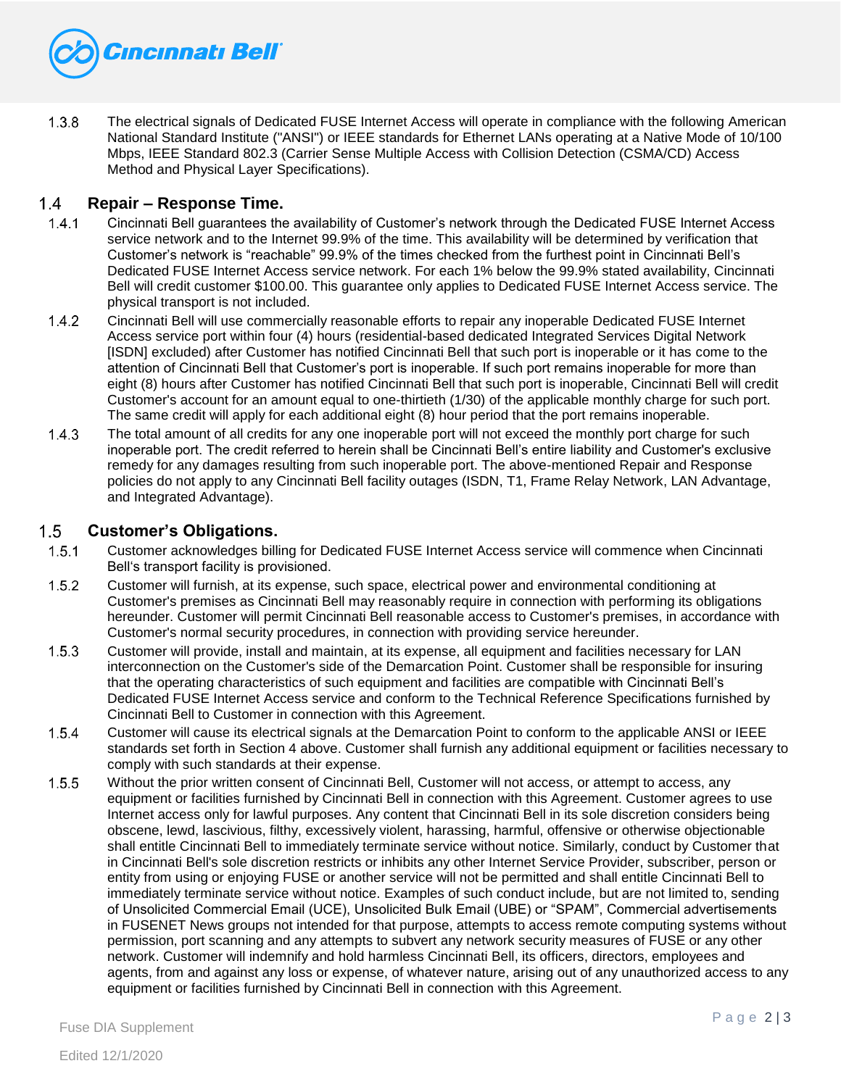

The electrical signals of Dedicated FUSE Internet Access will operate in compliance with the following American  $1.3.8$ National Standard Institute ("ANSI") or IEEE standards for Ethernet LANs operating at a Native Mode of 10/100 Mbps, IEEE Standard 802.3 (Carrier Sense Multiple Access with Collision Detection (CSMA/CD) Access Method and Physical Layer Specifications).

## $1.4$ **Repair – Response Time.**

- $1.4.1$ Cincinnati Bell guarantees the availability of Customer's network through the Dedicated FUSE Internet Access service network and to the Internet 99.9% of the time. This availability will be determined by verification that Customer's network is "reachable" 99.9% of the times checked from the furthest point in Cincinnati Bell's Dedicated FUSE Internet Access service network. For each 1% below the 99.9% stated availability, Cincinnati Bell will credit customer \$100.00. This guarantee only applies to Dedicated FUSE Internet Access service. The physical transport is not included.
- $1.4.2$ Cincinnati Bell will use commercially reasonable efforts to repair any inoperable Dedicated FUSE Internet Access service port within four (4) hours (residential-based dedicated Integrated Services Digital Network [ISDN] excluded) after Customer has notified Cincinnati Bell that such port is inoperable or it has come to the attention of Cincinnati Bell that Customer's port is inoperable. If such port remains inoperable for more than eight (8) hours after Customer has notified Cincinnati Bell that such port is inoperable, Cincinnati Bell will credit Customer's account for an amount equal to one-thirtieth (1/30) of the applicable monthly charge for such port. The same credit will apply for each additional eight (8) hour period that the port remains inoperable.
- $1.4.3$ The total amount of all credits for any one inoperable port will not exceed the monthly port charge for such inoperable port. The credit referred to herein shall be Cincinnati Bell's entire liability and Customer's exclusive remedy for any damages resulting from such inoperable port. The above-mentioned Repair and Response policies do not apply to any Cincinnati Bell facility outages (ISDN, T1, Frame Relay Network, LAN Advantage, and Integrated Advantage).

### $1.5$ **Customer's Obligations.**

- $1.5.1$ Customer acknowledges billing for Dedicated FUSE Internet Access service will commence when Cincinnati Bell's transport facility is provisioned.
- $1.5.2$ Customer will furnish, at its expense, such space, electrical power and environmental conditioning at Customer's premises as Cincinnati Bell may reasonably require in connection with performing its obligations hereunder. Customer will permit Cincinnati Bell reasonable access to Customer's premises, in accordance with Customer's normal security procedures, in connection with providing service hereunder.
- $1.5.3$ Customer will provide, install and maintain, at its expense, all equipment and facilities necessary for LAN interconnection on the Customer's side of the Demarcation Point. Customer shall be responsible for insuring that the operating characteristics of such equipment and facilities are compatible with Cincinnati Bell's Dedicated FUSE Internet Access service and conform to the Technical Reference Specifications furnished by Cincinnati Bell to Customer in connection with this Agreement.
- $1.5.4$ Customer will cause its electrical signals at the Demarcation Point to conform to the applicable ANSI or IEEE standards set forth in Section 4 above. Customer shall furnish any additional equipment or facilities necessary to comply with such standards at their expense.
- $1.5.5$ Without the prior written consent of Cincinnati Bell, Customer will not access, or attempt to access, any equipment or facilities furnished by Cincinnati Bell in connection with this Agreement. Customer agrees to use Internet access only for lawful purposes. Any content that Cincinnati Bell in its sole discretion considers being obscene, lewd, lascivious, filthy, excessively violent, harassing, harmful, offensive or otherwise objectionable shall entitle Cincinnati Bell to immediately terminate service without notice. Similarly, conduct by Customer that in Cincinnati Bell's sole discretion restricts or inhibits any other Internet Service Provider, subscriber, person or entity from using or enjoying FUSE or another service will not be permitted and shall entitle Cincinnati Bell to immediately terminate service without notice. Examples of such conduct include, but are not limited to, sending of Unsolicited Commercial Email (UCE), Unsolicited Bulk Email (UBE) or "SPAM", Commercial advertisements in FUSENET News groups not intended for that purpose, attempts to access remote computing systems without permission, port scanning and any attempts to subvert any network security measures of FUSE or any other network. Customer will indemnify and hold harmless Cincinnati Bell, its officers, directors, employees and agents, from and against any loss or expense, of whatever nature, arising out of any unauthorized access to any equipment or facilities furnished by Cincinnati Bell in connection with this Agreement.